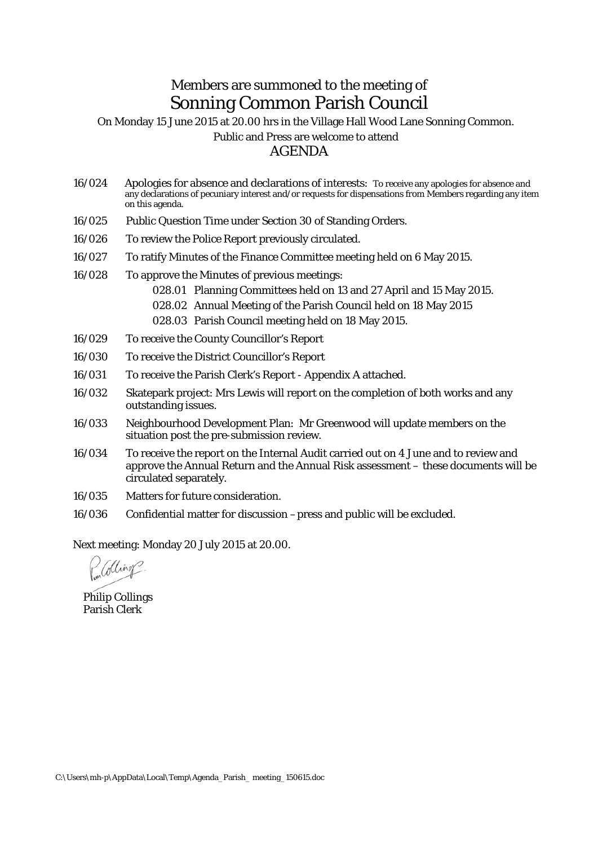## Members are summoned to the meeting of Sonning Common Parish Council

On Monday 15 June 2015 at 20.00 hrs in the Village Hall Wood Lane Sonning Common.

Public and Press are welcome to attend

## AGENDA

- 16/024 Apologies for absence and declarations of interests: To receive any apologies for absence and any declarations of pecuniary interest and/or requests for dispensations from Members regarding any item on this agenda.
- 16/025 Public Question Time under Section 30 of Standing Orders.
- 16/026 To review the Police Report previously circulated.
- 16/027 To ratify Minutes of the Finance Committee meeting held on 6 May 2015.
- 16/028 To approve the Minutes of previous meetings:
	- 028.01 Planning Committees held on 13 and 27 April and 15 May 2015.
	- 028.02 Annual Meeting of the Parish Council held on 18 May 2015
	- 028.03 Parish Council meeting held on 18 May 2015.
- 16/029 To receive the County Councillor's Report
- 16/030 To receive the District Councillor's Report
- 16/031 To receive the Parish Clerk's Report Appendix A attached.
- 16/032 Skatepark project: Mrs Lewis will report on the completion of both works and any outstanding issues.
- 16/033 Neighbourhood Development Plan: Mr Greenwood will update members on the situation post the pre-submission review.
- 16/034 To receive the report on the Internal Audit carried out on 4 June and to review and approve the Annual Return and the Annual Risk assessment – these documents will be circulated separately.
- 16/035 Matters for future consideration.
- 16/036 Confidential matter for discussion –press and public will be excluded.

Next meeting: Monday 20 July 2015 at 20.00.

(alling?

Philip Collings Parish Clerk